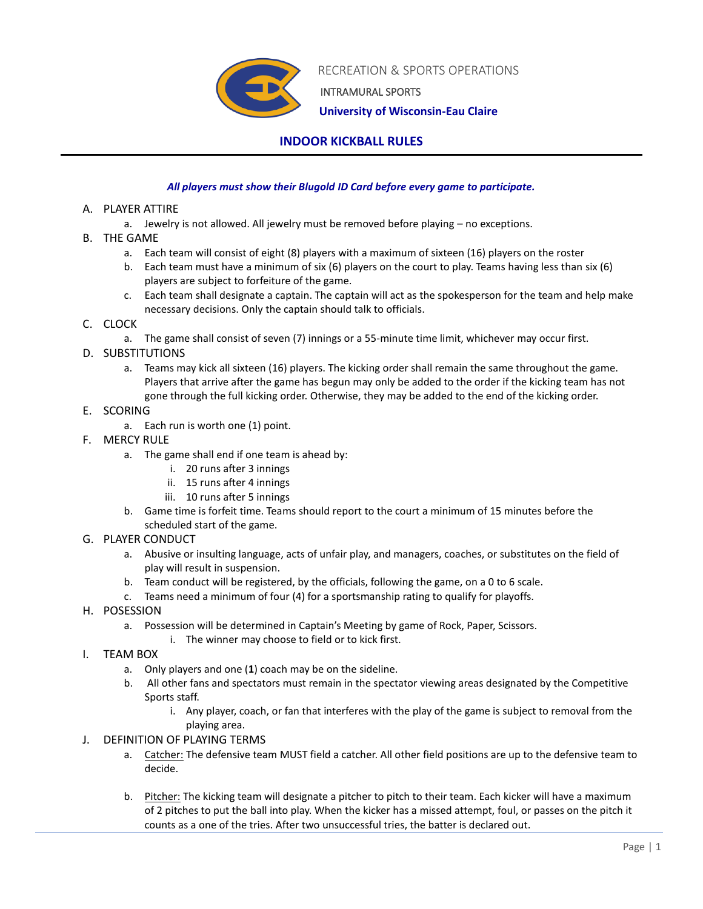

RECREATION & SPORTS OPERATIONS

INTRAMURAL SPORTS

 **University of Wisconsin-Eau Claire**

## **INDOOR KICKBALL RULES**

## *All players must show their Blugold ID Card before every game to participate.*

- A. PLAYER ATTIRE
	- a. Jewelry is not allowed. All jewelry must be removed before playing no exceptions.
- B. THE GAME
	- a. Each team will consist of eight (8) players with a maximum of sixteen (16) players on the roster
	- b. Each team must have a minimum of six (6) players on the court to play. Teams having less than six (6) players are subject to forfeiture of the game.
	- c. Each team shall designate a captain. The captain will act as the spokesperson for the team and help make necessary decisions. Only the captain should talk to officials.

## C. CLOCK

- a. The game shall consist of seven (7) innings or a 55-minute time limit, whichever may occur first.
- D. SUBSTITUTIONS
	- a. Teams may kick all sixteen (16) players. The kicking order shall remain the same throughout the game. Players that arrive after the game has begun may only be added to the order if the kicking team has not gone through the full kicking order. Otherwise, they may be added to the end of the kicking order.
- E. SCORING
	- a. Each run is worth one (1) point.
- F. MERCY RULE
	- a. The game shall end if one team is ahead by:
		- i. 20 runs after 3 innings
		- ii. 15 runs after 4 innings
		- iii. 10 runs after 5 innings
	- b. Game time is forfeit time. Teams should report to the court a minimum of 15 minutes before the scheduled start of the game.
- G. PLAYER CONDUCT
	- a. Abusive or insulting language, acts of unfair play, and managers, coaches, or substitutes on the field of play will result in suspension.
	- b. Team conduct will be registered, by the officials, following the game, on a 0 to 6 scale.
	- c. Teams need a minimum of four (4) for a sportsmanship rating to qualify for playoffs.
- H. POSESSION
	- a. Possession will be determined in Captain's Meeting by game of Rock, Paper, Scissors.
		- i. The winner may choose to field or to kick first.
- I. TEAM BOX
	- a. Only players and one (**1**) coach may be on the sideline.
	- b. All other fans and spectators must remain in the spectator viewing areas designated by the Competitive Sports staff.
		- i. Any player, coach, or fan that interferes with the play of the game is subject to removal from the playing area.
- J. DEFINITION OF PLAYING TERMS
	- a. Catcher: The defensive team MUST field a catcher. All other field positions are up to the defensive team to decide.
	- b. Pitcher: The kicking team will designate a pitcher to pitch to their team. Each kicker will have a maximum of 2 pitches to put the ball into play. When the kicker has a missed attempt, foul, or passes on the pitch it counts as a one of the tries. After two unsuccessful tries, the batter is declared out.